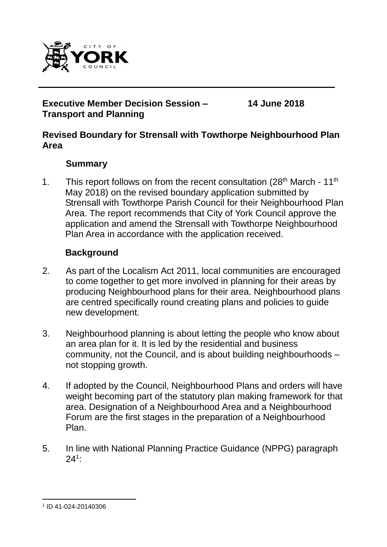

## **Executive Member Decision Session – Transport and Planning**

**14 June 2018**

## **Revised Boundary for Strensall with Towthorpe Neighbourhood Plan Area**

## **Summary**

1. This report follows on from the recent consultation  $(28<sup>th</sup> March - 11<sup>th</sup>)$ May 2018) on the revised boundary application submitted by Strensall with Towthorpe Parish Council for their Neighbourhood Plan Area. The report recommends that City of York Council approve the application and amend the Strensall with Towthorpe Neighbourhood Plan Area in accordance with the application received.

## **Background**

- 2. As part of the Localism Act 2011, local communities are encouraged to come together to get more involved in planning for their areas by producing Neighbourhood plans for their area. Neighbourhood plans are centred specifically round creating plans and policies to guide new development.
- 3. Neighbourhood planning is about letting the people who know about an area plan for it. It is led by the residential and business community, not the Council, and is about building neighbourhoods – not stopping growth.
- 4. If adopted by the Council, Neighbourhood Plans and orders will have weight becoming part of the statutory plan making framework for that area. Designation of a Neighbourhood Area and a Neighbourhood Forum are the first stages in the preparation of a Neighbourhood Plan.
- 5. In line with National Planning Practice Guidance (NPPG) paragraph  $24^1$ :

l

<sup>1</sup> ID 41-024-20140306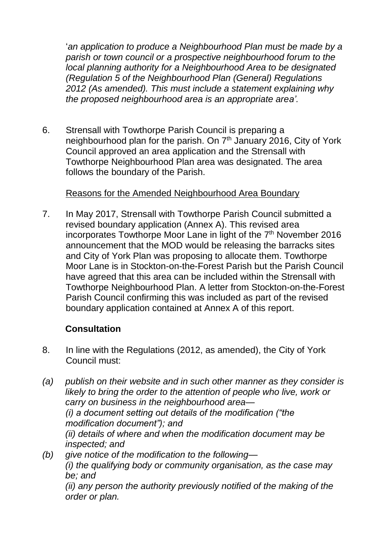'*an application to produce a Neighbourhood Plan must be made by a parish or town council or a prospective neighbourhood forum to the local planning authority for a Neighbourhood Area to be designated (Regulation 5 of the Neighbourhood Plan (General) Regulations 2012 (As amended). This must include a statement explaining why the proposed neighbourhood area is an appropriate area'.*

6. Strensall with Towthorpe Parish Council is preparing a neighbourhood plan for the parish. On  $7<sup>th</sup>$  January 2016, City of York Council approved an area application and the Strensall with Towthorpe Neighbourhood Plan area was designated. The area follows the boundary of the Parish.

## Reasons for the Amended Neighbourhood Area Boundary

7. In May 2017, Strensall with Towthorpe Parish Council submitted a revised boundary application (Annex A). This revised area incorporates Towthorpe Moor Lane in light of the 7<sup>th</sup> November 2016 announcement that the MOD would be releasing the barracks sites and City of York Plan was proposing to allocate them. Towthorpe Moor Lane is in Stockton-on-the-Forest Parish but the Parish Council have agreed that this area can be included within the Strensall with Towthorpe Neighbourhood Plan. A letter from Stockton-on-the-Forest Parish Council confirming this was included as part of the revised boundary application contained at Annex A of this report.

# **Consultation**

- 8. In line with the Regulations (2012, as amended), the City of York Council must:
- *(a) publish on their website and in such other manner as they consider is likely to bring the order to the attention of people who live, work or carry on business in the neighbourhood area— (i) a document setting out details of the modification ("the modification document"); and (ii) details of where and when the modification document may be inspected; and (b) give notice of the modification to the following— (i) the qualifying body or community organisation, as the case may*

*be; and (ii) any person the authority previously notified of the making of the order or plan.*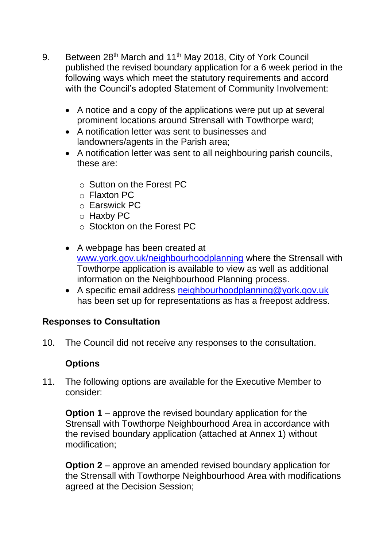- 9. Between 28<sup>th</sup> March and 11<sup>th</sup> May 2018, City of York Council published the revised boundary application for a 6 week period in the following ways which meet the statutory requirements and accord with the Council's adopted Statement of Community Involvement:
	- A notice and a copy of the applications were put up at several prominent locations around Strensall with Towthorpe ward;
	- A notification letter was sent to businesses and landowners/agents in the Parish area;
	- A notification letter was sent to all neighbouring parish councils, these are:
		- o Sutton on the Forest PC
		- o Flaxton PC
		- o Earswick PC
		- o Haxby PC
		- o Stockton on the Forest PC
	- A webpage has been created at [www.york.gov.uk/neighbourhoodplanning](http://www.york.gov.uk/neighbourhoodplanning) where the Strensall with Towthorpe application is available to view as well as additional information on the Neighbourhood Planning process.
	- A specific email address [neighbourhoodplanning@york.gov.uk](mailto:neighbourhoodplanning@york.gov.uk) has been set up for representations as has a freepost address.

## **Responses to Consultation**

10. The Council did not receive any responses to the consultation.

## **Options**

11. The following options are available for the Executive Member to consider:

**Option 1** – approve the revised boundary application for the Strensall with Towthorpe Neighbourhood Area in accordance with the revised boundary application (attached at Annex 1) without modification;

**Option 2** – approve an amended revised boundary application for the Strensall with Towthorpe Neighbourhood Area with modifications agreed at the Decision Session;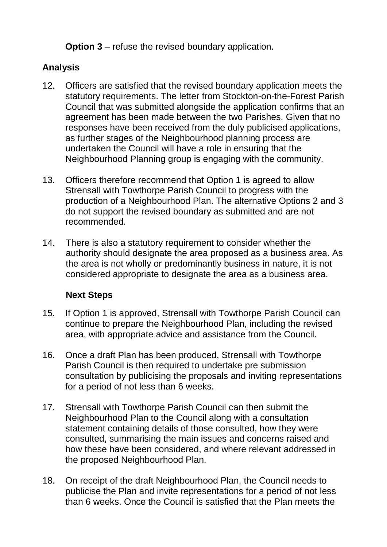**Option 3** – refuse the revised boundary application.

# **Analysis**

- 12. Officers are satisfied that the revised boundary application meets the statutory requirements. The letter from Stockton-on-the-Forest Parish Council that was submitted alongside the application confirms that an agreement has been made between the two Parishes. Given that no responses have been received from the duly publicised applications, as further stages of the Neighbourhood planning process are undertaken the Council will have a role in ensuring that the Neighbourhood Planning group is engaging with the community.
- 13. Officers therefore recommend that Option 1 is agreed to allow Strensall with Towthorpe Parish Council to progress with the production of a Neighbourhood Plan. The alternative Options 2 and 3 do not support the revised boundary as submitted and are not recommended.
- 14. There is also a statutory requirement to consider whether the authority should designate the area proposed as a business area. As the area is not wholly or predominantly business in nature, it is not considered appropriate to designate the area as a business area.

# **Next Steps**

- 15. If Option 1 is approved, Strensall with Towthorpe Parish Council can continue to prepare the Neighbourhood Plan, including the revised area, with appropriate advice and assistance from the Council.
- 16. Once a draft Plan has been produced, Strensall with Towthorpe Parish Council is then required to undertake pre submission consultation by publicising the proposals and inviting representations for a period of not less than 6 weeks.
- 17. Strensall with Towthorpe Parish Council can then submit the Neighbourhood Plan to the Council along with a consultation statement containing details of those consulted, how they were consulted, summarising the main issues and concerns raised and how these have been considered, and where relevant addressed in the proposed Neighbourhood Plan.
- 18. On receipt of the draft Neighbourhood Plan, the Council needs to publicise the Plan and invite representations for a period of not less than 6 weeks. Once the Council is satisfied that the Plan meets the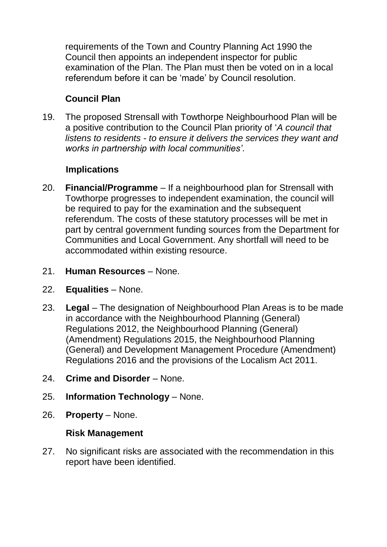requirements of the Town and Country Planning Act 1990 the Council then appoints an independent inspector for public examination of the Plan. The Plan must then be voted on in a local referendum before it can be 'made' by Council resolution.

# **Council Plan**

19. The proposed Strensall with Towthorpe Neighbourhood Plan will be a positive contribution to the Council Plan priority of '*A council that listens to residents - to ensure it delivers the services they want and works in partnership with local communities'*.

## **Implications**

- 20. **Financial/Programme**  If a neighbourhood plan for Strensall with Towthorpe progresses to independent examination, the council will be required to pay for the examination and the subsequent referendum. The costs of these statutory processes will be met in part by central government funding sources from the Department for Communities and Local Government. Any shortfall will need to be accommodated within existing resource.
- 21. **Human Resources**  None.
- 22. **Equalities**  None.
- 23. **Legal** The designation of Neighbourhood Plan Areas is to be made in accordance with the Neighbourhood Planning (General) Regulations 2012, the Neighbourhood Planning (General) (Amendment) Regulations 2015, the Neighbourhood Planning (General) and Development Management Procedure (Amendment) Regulations 2016 and the provisions of the Localism Act 2011.
- 24. **Crime and Disorder** None.
- 25. **Information Technology**  None.
- 26. **Property** None.

## **Risk Management**

27. No significant risks are associated with the recommendation in this report have been identified.